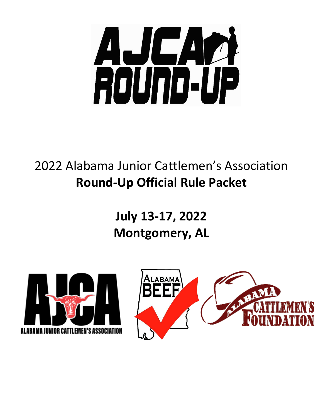

# 2022 Alabama Junior Cattlemen's Association **Round-Up Official Rule Packet**

**July 13-17, 2022 Montgomery, AL**

![](_page_0_Picture_3.jpeg)

![](_page_0_Picture_4.jpeg)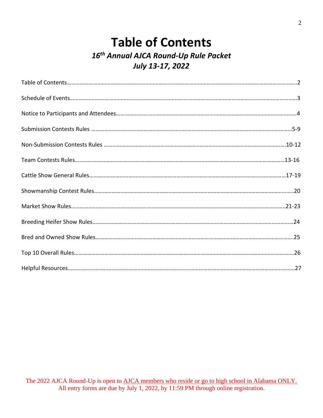# **Table of Contents** *16th Annual AJCA Round-Up Rule Packet July 13-17, 2022*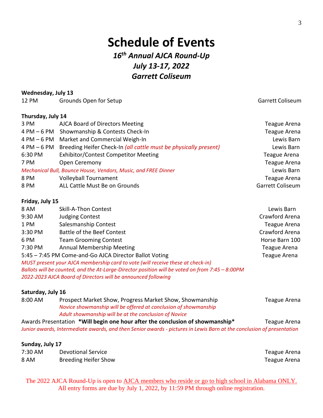# **Schedule of Events** *16th Annual AJCA Round-Up July 13-17, 2022 Garrett Coliseum*

#### **Wednesday, July 13**

12 PM Grounds Open for Setup Garrett Coliseum Garrett Coliseum

#### **Thursday, July 14**

| 3 PM    | <b>AJCA Board of Directors Meeting</b>                                       | <b>Teague Arena</b> |
|---------|------------------------------------------------------------------------------|---------------------|
|         | 4 PM - 6 PM Showmanship & Contests Check-In                                  | <b>Teague Arena</b> |
|         | 4 PM - 6 PM Market and Commercial Weigh-In                                   | Lewis Barn          |
|         | 4 PM – 6 PM Breeding Heifer Check-In (all cattle must be physically present) | Lewis Barn          |
| 6:30 PM | <b>Exhibitor/Contest Competitor Meeting</b>                                  | Teague Arena        |
| 7 PM    | Open Ceremony                                                                | <b>Teague Arena</b> |
|         | Mechanical Bull, Bounce House, Vendors, Music, and FREE Dinner               | Lewis Barn          |
| 8 PM    | <b>Volleyball Tournament</b>                                                 | <b>Teague Arena</b> |
| 8 PM    | ALL Cattle Must Be on Grounds                                                | Garrett Coliseum    |
|         |                                                                              |                     |

#### **Friday, July 15**

| 8 AM    | Skill-A-Thon Contest                                                                            | Lewis Barn          |
|---------|-------------------------------------------------------------------------------------------------|---------------------|
| 9:30 AM | <b>Judging Contest</b>                                                                          | Crawford Arena      |
| 1 PM    | Salesmanship Contest                                                                            | Teague Arena        |
| 3:30 PM | <b>Battle of the Beef Contest</b>                                                               | Crawford Arena      |
| 6 PM    | <b>Team Grooming Contest</b>                                                                    | Horse Barn 100      |
| 7:30 PM | <b>Annual Membership Meeting</b>                                                                | <b>Teague Arena</b> |
|         | 5:45 - 7:45 PM Come-and-Go AJCA Director Ballot Voting                                          | <b>Teague Arena</b> |
|         | MUST present your AJCA membership card to vote (will receive these at check-in)                 |                     |
|         | Ballots will be counted, and the At-Large-Director position will be voted on from 7:45 - 8:00PM |                     |
|         | 2022-2023 AJCA Board of Directors will be announced following                                   |                     |

#### **Saturday, July 16**

| 8:00 AM | Prospect Market Show, Progress Market Show, Showmanship                                | Teague Arena |
|---------|----------------------------------------------------------------------------------------|--------------|
|         | Novice showmanship will be offered at conclusion of showmanship                        |              |
|         | Adult showmanship will be at the conclusion of Novice                                  |              |
|         | Autobala Dessautation - * * * * * * Londona haur aftautha aspelusion of aberupanakin * | T            |

Awards Presentation **\*Will begin one hour after the conclusion of showmanship\*** Teague Arena *Junior awards, Intermediate awards, and then Senior awards - pictures in Lewis Barn at the conclusion of presentation* 

#### **Sunday, July 17**

| 7:30 AM | <b>Devotional Service</b>   | Teague Arena |
|---------|-----------------------------|--------------|
| 8 AM    | <b>Breeding Heifer Show</b> | Teague Arena |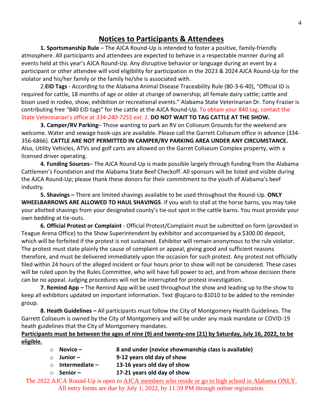### **Notices to Participants & Attendees**

**1. Sportsmanship Rule** – The AJCA Round-Up is intended to foster a positive, family-friendly atmosphere. All participants and attendees are expected to behave in a respectable manner during all events held at this year's AJCA Round-Up. Any disruptive behavior or language during an event by a participant or other attendee will void eligibility for participation in the 2023 & 2024 AJCA Round-Up for the violator and his/her family or the family he/she is associated with.

2.**EID Tags** - According to the Alabama Animal Disease Traceability Rule (80-3-6-40), "Official ID is required for cattle, 18 months of age or older at change of ownership; all female dairy cattle; cattle and bison used in rodeo, show, exhibition or recreational events." Alabama State Veterinarian Dr. Tony Frazier is contributing free "840 EID tags" for the cattle at the AJCA Round-Up. To obtain your 840 tag, contact the State Veterinarian's office at *334-240-7255 ext. 1*. **DO NOT WAIT TO TAG CATTLE AT THE SHOW.**

**3. Camper/RV Parking**– Those wanting to park an RV on Coliseum Grounds for the weekend are welcome. Water and sewage hook-ups are available. Please call the Garrett Coliseum office in advance (334- 356-6866). **CATTLE ARE NOT PERMITTED IN CAMPER/RV PARKING AREA UNDER ANY CIRCUMSTANCE.**  Also, Utility Vehicles, ATVs and golf carts are allowed on the Garret Coliseum Complex property, with a licensed driver operating.

**4. Funding Sources**– The AJCA Round-Up is made possible largely through funding from the Alabama Cattlemen's Foundation and the Alabama State Beef Checkoff. All sponsors will be listed and visible during the AJCA Round-Up; please thank these donors for their commitment to the youth of Alabama's beef industry.

**5. Shavings –** There are limited shavings available to be used throughout the Round-Up. **ONLY WHEELBARROWS ARE ALLOWED TO HAUL SHAVINGS**. If you wish to stall at the horse barns, you may take your allotted shavings from your designated county's tie-out spot in the cattle barns. You must provide your own bedding at tie-outs.

**6. Official Protest or Complaint** - Official Protest/Complaint must be submitted on form (provided in Teague Arena Office) to the Show Superintendent by exhibitor and accompanied by a \$300.00 deposit, which will be forfeited if the protest is not sustained. Exhibitor will remain anonymous to the rule violator. The protest must state plainly the cause of complaint or appeal, giving good and sufficient reasons therefore, and must be delivered immediately upon the occasion for such protest. Any protest not officially filed within 24 hours of the alleged incident or four hours prior to show will not be considered. These cases will be ruled upon by the Rules Committee, who will have full power to act, and from whose decision there can be no appeal. Judging procedures will not be interrupted for protest investigation.

**7. Remind App –** The Remind App will be used throughout the show and leading up to the show to keep all exhibitors updated on important information. Text @ajcaro to 81010 to be added to the reminder group.

**8. Heath Guidelines –** All participants must follow the City of Montgomery Health Guidelines. The Garrett Coliseum is owned by the City of Montgomery and will be under any mask mandate or COVID-19 heath guidelines that the City of Montgomery mandates.

**Participants must be between the ages of nine (9) and twenty-one (21) by Saturday, July 16, 2022, to be eligible.**

- o **Novice – 8 and under (novice showmanship class is available)**
- o **Junior – 9-12 years old day of show**
- o **Intermediate – 13-16 years old day of show**
- o **Senior – 17-21 years old day of show**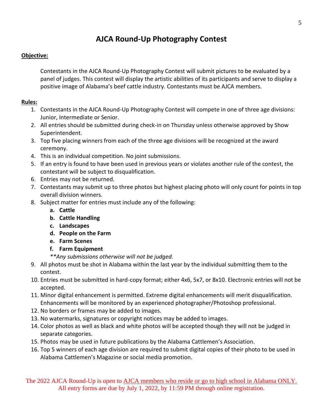# **AJCA Round-Up Photography Contest**

### **Objective:**

Contestants in the AJCA Round-Up Photography Contest will submit pictures to be evaluated by a panel of judges. This contest will display the artistic abilities of its participants and serve to display a positive image of Alabama's beef cattle industry. Contestants must be AJCA members.

#### **Rules:**

- 1. Contestants in the AJCA Round-Up Photography Contest will compete in one of three age divisions: Junior, Intermediate or Senior.
- 2. All entries should be submitted during check-in on Thursday unless otherwise approved by Show Superintendent.
- 3. Top five placing winners from each of the three age divisions will be recognized at the award ceremony.
- 4. This is an individual competition. No joint submissions.
- 5. If an entry is found to have been used in previous years or violates another rule of the contest, the contestant will be subject to disqualification.
- 6. Entries may not be returned.
- 7. Contestants may submit up to three photos but highest placing photo will only count for points in top overall division winners.
- 8. Subject matter for entries must include any of the following:
	- **a. Cattle**
	- **b. Cattle Handling**
	- **c. Landscapes**
	- **d. People on the Farm**
	- **e. Farm Scenes**
	- **f. Farm Equipment**

*\*\*Any submissions otherwise will not be judged.*

- 9. All photos must be shot in Alabama within the last year by the individual submitting them to the contest.
- 10. Entries must be submitted in hard-copy format; either 4x6, 5x7, or 8x10. Electronic entries will not be accepted.
- 11. Minor digital enhancement is permitted. Extreme digital enhancements will merit disqualification. Enhancements will be monitored by an experienced photographer/Photoshop professional.
- 12. No borders or frames may be added to images.
- 13. No watermarks, signatures or copyright notices may be added to images.
- 14. Color photos as well as black and white photos will be accepted though they will not be judged in separate categories.
- 15. Photos may be used in future publications by the Alabama Cattlemen's Association.
- 16. Top 5 winners of each age division are required to submit digital copies of their photo to be used in Alabama Cattlemen's Magazine or social media promotion.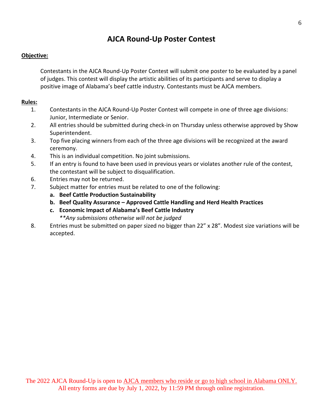### **AJCA Round-Up Poster Contest**

#### **Objective:**

Contestants in the AJCA Round-Up Poster Contest will submit one poster to be evaluated by a panel of judges. This contest will display the artistic abilities of its participants and serve to display a positive image of Alabama's beef cattle industry. Contestants must be AJCA members.

- 1. Contestants in the AJCA Round-Up Poster Contest will compete in one of three age divisions: Junior, Intermediate or Senior.
- 2. All entries should be submitted during check-in on Thursday unless otherwise approved by Show Superintendent.
- 3. Top five placing winners from each of the three age divisions will be recognized at the award ceremony.
- 4. This is an individual competition. No joint submissions.
- 5. If an entry is found to have been used in previous years or violates another rule of the contest, the contestant will be subject to disqualification.
- 6. Entries may not be returned.
- 7. Subject matter for entries must be related to one of the following:
	- **a. Beef Cattle Production Sustainability**
	- **b. Beef Quality Assurance – Approved Cattle Handling and Herd Health Practices**
	- **c. Economic Impact of Alabama's Beef Cattle Industry**
		- *\*\*Any submissions otherwise will not be judged*
- 8. Entries must be submitted on paper sized no bigger than 22" x 28". Modest size variations will be accepted.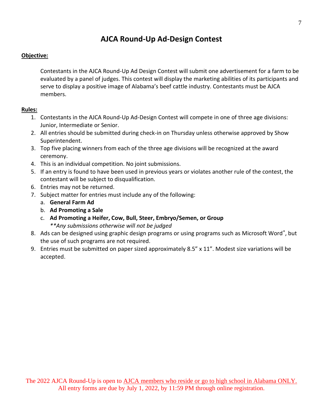# **AJCA Round-Up Ad-Design Contest**

#### **Objective:**

Contestants in the AJCA Round-Up Ad Design Contest will submit one advertisement for a farm to be evaluated by a panel of judges. This contest will display the marketing abilities of its participants and serve to display a positive image of Alabama's beef cattle industry. Contestants must be AJCA members.

- 1. Contestants in the AJCA Round-Up Ad-Design Contest will compete in one of three age divisions: Junior, Intermediate or Senior.
- 2. All entries should be submitted during check-in on Thursday unless otherwise approved by Show Superintendent.
- 3. Top five placing winners from each of the three age divisions will be recognized at the award ceremony.
- 4. This is an individual competition. No joint submissions.
- 5. If an entry is found to have been used in previous years or violates another rule of the contest, the contestant will be subject to disqualification.
- 6. Entries may not be returned.
- 7. Subject matter for entries must include any of the following:
	- a. **General Farm Ad**
	- b. **Ad Promoting a Sale**
	- c. **Ad Promoting a Heifer, Cow, Bull, Steer, Embryo/Semen, or Group** *\*\*Any submissions otherwise will not be judged*
- 8. Ads can be designed using graphic design programs or using programs such as Microsoft Word®, but the use of such programs are not required.
- 9. Entries must be submitted on paper sized approximately 8.5" x 11". Modest size variations will be accepted.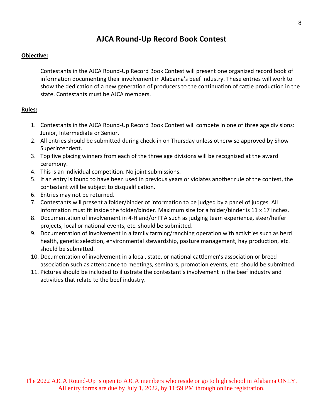### **AJCA Round-Up Record Book Contest**

#### **Objective:**

Contestants in the AJCA Round-Up Record Book Contest will present one organized record book of information documenting their involvement in Alabama's beef industry. These entries will work to show the dedication of a new generation of producers to the continuation of cattle production in the state. Contestants must be AJCA members.

- 1. Contestants in the AJCA Round-Up Record Book Contest will compete in one of three age divisions: Junior, Intermediate or Senior.
- 2. All entries should be submitted during check-in on Thursday unless otherwise approved by Show Superintendent.
- 3. Top five placing winners from each of the three age divisions will be recognized at the award ceremony.
- 4. This is an individual competition. No joint submissions.
- 5. If an entry is found to have been used in previous years or violates another rule of the contest, the contestant will be subject to disqualification.
- 6. Entries may not be returned.
- 7. Contestants will present a folder/binder of information to be judged by a panel of judges. All information must fit inside the folder/binder. Maximum size for a folder/binder is 11 x 17 inches.
- 8. Documentation of involvement in 4-H and/or FFA such as judging team experience, steer/heifer projects, local or national events, etc. should be submitted.
- 9. Documentation of involvement in a family farming/ranching operation with activities such as herd health, genetic selection, environmental stewardship, pasture management, hay production, etc. should be submitted.
- 10. Documentation of involvement in a local, state, or national cattlemen's association or breed association such as attendance to meetings, seminars, promotion events, etc. should be submitted.
- 11. Pictures should be included to illustrate the contestant's involvement in the beef industry and activities that relate to the beef industry.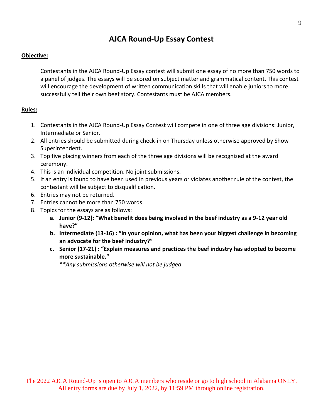### **AJCA Round-Up Essay Contest**

#### **Objective:**

Contestants in the AJCA Round-Up Essay contest will submit one essay of no more than 750 words to a panel of judges. The essays will be scored on subject matter and grammatical content. This contest will encourage the development of written communication skills that will enable juniors to more successfully tell their own beef story. Contestants must be AJCA members.

#### **Rules:**

- 1. Contestants in the AJCA Round-Up Essay Contest will compete in one of three age divisions: Junior, Intermediate or Senior.
- 2. All entries should be submitted during check-in on Thursday unless otherwise approved by Show Superintendent.
- 3. Top five placing winners from each of the three age divisions will be recognized at the award ceremony.
- 4. This is an individual competition. No joint submissions.
- 5. If an entry is found to have been used in previous years or violates another rule of the contest, the contestant will be subject to disqualification.
- 6. Entries may not be returned.
- 7. Entries cannot be more than 750 words.
- 8. Topics for the essays are as follows:
	- **a. Junior (9-12): "What benefit does being involved in the beef industry as a 9-12 year old have?"**
	- **b. Intermediate (13-16) : "In your opinion, what has been your biggest challenge in becoming an advocate for the beef industry?"**
	- **c. Senior (17-21) : "Explain measures and practices the beef industry has adopted to become more sustainable."**

*\*\*Any submissions otherwise will not be judged*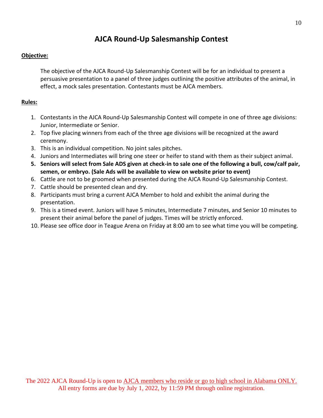# **AJCA Round-Up Salesmanship Contest**

#### **Objective:**

The objective of the AJCA Round-Up Salesmanship Contest will be for an individual to present a persuasive presentation to a panel of three judges outlining the positive attributes of the animal, in effect, a mock sales presentation. Contestants must be AJCA members.

- 1. Contestants in the AJCA Round-Up Salesmanship Contest will compete in one of three age divisions: Junior, Intermediate or Senior.
- 2. Top five placing winners from each of the three age divisions will be recognized at the award ceremony.
- 3. This is an individual competition. No joint sales pitches.
- 4. Juniors and Intermediates will bring one steer or heifer to stand with them as their subject animal.
- **5. Seniors will select from Sale ADS given at check-in to sale one of the following a bull, cow/calf pair, semen, or embryo. (Sale Ads will be available to view on website prior to event)**
- 6. Cattle are not to be groomed when presented during the AJCA Round-Up Salesmanship Contest.
- 7. Cattle should be presented clean and dry.
- 8. Participants must bring a current AJCA Member to hold and exhibit the animal during the presentation.
- 9. This is a timed event. Juniors will have 5 minutes, Intermediate 7 minutes, and Senior 10 minutes to present their animal before the panel of judges. Times will be strictly enforced.
- 10. Please see office door in Teague Arena on Friday at 8:00 am to see what time you will be competing.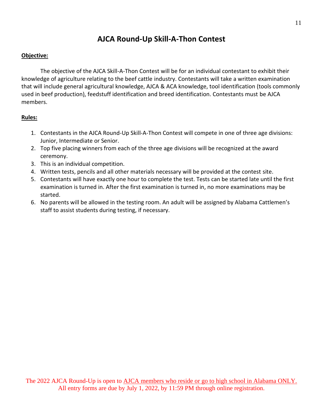### **AJCA Round-Up Skill-A-Thon Contest**

#### **Objective:**

The objective of the AJCA Skill-A-Thon Contest will be for an individual contestant to exhibit their knowledge of agriculture relating to the beef cattle industry. Contestants will take a written examination that will include general agricultural knowledge, AJCA & ACA knowledge, tool identification (tools commonly used in beef production), feedstuff identification and breed identification. Contestants must be AJCA members.

- 1. Contestants in the AJCA Round-Up Skill-A-Thon Contest will compete in one of three age divisions: Junior, Intermediate or Senior.
- 2. Top five placing winners from each of the three age divisions will be recognized at the award ceremony.
- 3. This is an individual competition.
- 4. Written tests, pencils and all other materials necessary will be provided at the contest site.
- 5. Contestants will have exactly one hour to complete the test. Tests can be started late until the first examination is turned in. After the first examination is turned in, no more examinations may be started.
- 6. No parents will be allowed in the testing room. An adult will be assigned by Alabama Cattlemen's staff to assist students during testing, if necessary.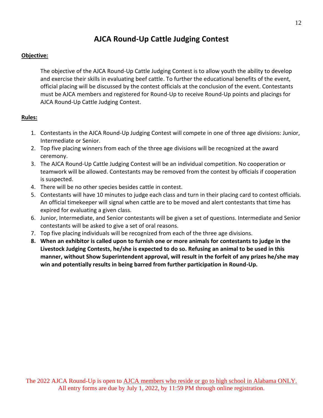### **AJCA Round-Up Cattle Judging Contest**

#### **Objective:**

The objective of the AJCA Round-Up Cattle Judging Contest is to allow youth the ability to develop and exercise their skills in evaluating beef cattle. To further the educational benefits of the event, official placing will be discussed by the contest officials at the conclusion of the event. Contestants must be AJCA members and registered for Round-Up to receive Round-Up points and placings for AJCA Round-Up Cattle Judging Contest.

- 1. Contestants in the AJCA Round-Up Judging Contest will compete in one of three age divisions: Junior, Intermediate or Senior.
- 2. Top five placing winners from each of the three age divisions will be recognized at the award ceremony.
- 3. The AJCA Round-Up Cattle Judging Contest will be an individual competition. No cooperation or teamwork will be allowed. Contestants may be removed from the contest by officials if cooperation is suspected.
- 4. There will be no other species besides cattle in contest.
- 5. Contestants will have 10 minutes to judge each class and turn in their placing card to contest officials. An official timekeeper will signal when cattle are to be moved and alert contestants that time has expired for evaluating a given class.
- 6. Junior, Intermediate, and Senior contestants will be given a set of questions. Intermediate and Senior contestants will be asked to give a set of oral reasons.
- 7. Top five placing individuals will be recognized from each of the three age divisions.
- **8. When an exhibitor is called upon to furnish one or more animals for contestants to judge in the Livestock Judging Contests, he/she is expected to do so. Refusing an animal to be used in this manner, without Show Superintendent approval, will result in the forfeit of any prizes he/she may win and potentially results in being barred from further participation in Round-Up.**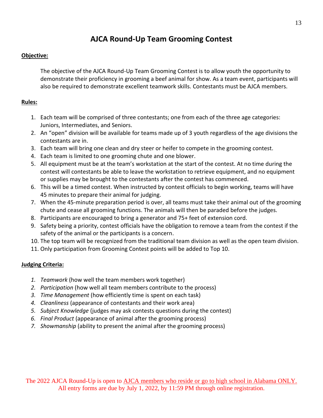# **AJCA Round-Up Team Grooming Contest**

#### **Objective:**

The objective of the AJCA Round-Up Team Grooming Contest is to allow youth the opportunity to demonstrate their proficiency in grooming a beef animal for show. As a team event, participants will also be required to demonstrate excellent teamwork skills. Contestants must be AJCA members.

#### **Rules:**

- 1. Each team will be comprised of three contestants; one from each of the three age categories: Juniors, Intermediates, and Seniors.
- 2. An "open" division will be available for teams made up of 3 youth regardless of the age divisions the contestants are in.
- 3. Each team will bring one clean and dry steer or heifer to compete in the grooming contest.
- 4. Each team is limited to one grooming chute and one blower.
- 5. All equipment must be at the team's workstation at the start of the contest. At no time during the contest will contestants be able to leave the workstation to retrieve equipment, and no equipment or supplies may be brought to the contestants after the contest has commenced.
- 6. This will be a timed contest. When instructed by contest officials to begin working, teams will have 45 minutes to prepare their animal for judging.
- 7. When the 45-minute preparation period is over, all teams must take their animal out of the grooming chute and cease all grooming functions. The animals will then be paraded before the judges.
- 8. Participants are encouraged to bring a generator and 75+ feet of extension cord.
- 9. Safety being a priority, contest officials have the obligation to remove a team from the contest if the safety of the animal or the participants is a concern.
- 10. The top team will be recognized from the traditional team division as well as the open team division.
- 11. Only participation from Grooming Contest points will be added to Top 10.

### **Judging Criteria:**

- *1. Teamwork* (how well the team members work together)
- *2. Participation* (how well all team members contribute to the process)
- *3. Time Management* (how efficiently time is spent on each task)
- *4. Cleanliness* (appearance of contestants and their work area)
- *5. Subject Knowledge* (judges may ask contests questions during the contest)
- *6. Final Product* (appearance of animal after the grooming process)
- *7. Showmanship* (ability to present the animal after the grooming process)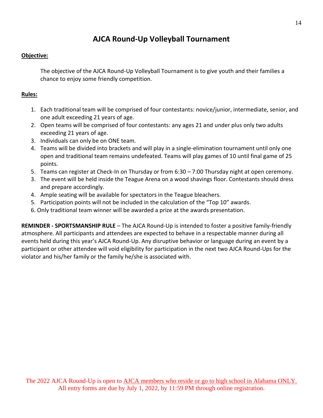### **AJCA Round-Up Volleyball Tournament**

### **Objective:**

The objective of the AJCA Round-Up Volleyball Tournament is to give youth and their families a chance to enjoy some friendly competition.

### **Rules:**

- 1. Each traditional team will be comprised of four contestants: novice/junior, intermediate, senior, and one adult exceeding 21 years of age.
- 2. Open teams will be comprised of four contestants: any ages 21 and under plus only two adults exceeding 21 years of age.
- 3. Individuals can only be on ONE team.
- 4. Teams will be divided into brackets and will play in a single-elimination tournament until only one open and traditional team remains undefeated. Teams will play games of 10 until final game of 25 points.
- 5. Teams can register at Check-In on Thursday or from 6:30 7:00 Thursday night at open ceremony.
- 3. The event will be held inside the Teague Arena on a wood shavings floor. Contestants should dress and prepare accordingly.
- 4. Ample seating will be available for spectators in the Teague bleachers.
- 5. Participation points will not be included in the calculation of the "Top 10" awards.
- 6. Only traditional team winner will be awarded a prize at the awards presentation.

**REMINDER - SPORTSMANSHIP RULE** – The AJCA Round-Up is intended to foster a positive family-friendly atmosphere. All participants and attendees are expected to behave in a respectable manner during all events held during this year's AJCA Round-Up. Any disruptive behavior or language during an event by a participant or other attendee will void eligibility for participation in the next two AJCA Round-Ups for the violator and his/her family or the family he/she is associated with.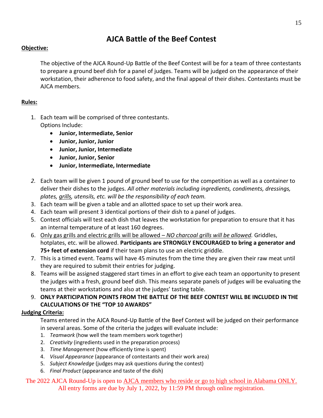# **AJCA Battle of the Beef Contest**

### **Objective:**

The objective of the AJCA Round-Up Battle of the Beef Contest will be for a team of three contestants to prepare a ground beef dish for a panel of judges. Teams will be judged on the appearance of their workstation, their adherence to food safety, and the final appeal of their dishes. Contestants must be AJCA members.

### **Rules:**

- 1. Each team will be comprised of three contestants. Options Include:
	- **Junior, Intermediate, Senior**
	- **Junior, Junior, Junior**
	- **Junior, Junior, Intermediate**
	- **Junior, Junior, Senior**
	- **Junior, Intermediate, Intermediate**
- *2.* Each team will be given 1 pound of ground beef to use for the competition as well as a container to deliver their dishes to the judges. *All other materials including ingredients, condiments, dressings, plates, grills, utensils, etc. will be the responsibility of each team.*
- 3. Each team will be given a table and an allotted space to set up their work area.
- 4. Each team will present 3 identical portions of their dish to a panel of judges.
- 5. Contest officials will test each dish that leaves the workstation for preparation to ensure that it has an internal temperature of at least 160 degrees.
- 6. Only gas grills and electric grills will be allowed *NO charcoal grills will be allowed.* Griddles, hotplates, etc. will be allowed. **Participants are STRONGLY ENCOURAGED to bring a generator and 75+ feet of extension cord** if their team plans to use an electric griddle.
- 7. This is a timed event. Teams will have 45 minutes from the time they are given their raw meat until they are required to submit their entries for judging.
- 8. Teams will be assigned staggered start times in an effort to give each team an opportunity to present the judges with a fresh, ground beef dish. This means separate panels of judges will be evaluating the teams at their workstations and also at the judges' tasting table.
- 9. **ONLY PARTICIPATION POINTS FROM THE BATTLE OF THE BEEF CONTEST WILL BE INCLUDED IN THE CALCULATIONS OF THE "TOP 10 AWARDS"**

### **Judging Criteria:**

Teams entered in the AJCA Round-Up Battle of the Beef Contest will be judged on their performance in several areas. Some of the criteria the judges will evaluate include:

- 1. *Teamwork* (how well the team members work together)
- 2. *Creativity* (ingredients used in the preparation process)
- 3. *Time Management* (how efficiently time is spent)
- 4. *Visual Appearance* (appearance of contestants and their work area)
- 5. *Subject Knowledge* (judges may ask questions during the contest)
- 6. *Final Product* (appearance and taste of the dish)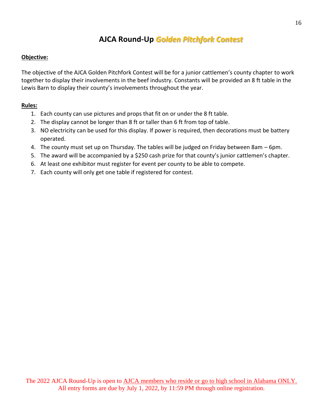# **AJCA Round-Up** *Golden Pitchfork Contest*

#### **Objective:**

The objective of the AJCA Golden Pitchfork Contest will be for a junior cattlemen's county chapter to work together to display their involvements in the beef industry. Constants will be provided an 8 ft table in the Lewis Barn to display their county's involvements throughout the year.

- 1. Each county can use pictures and props that fit on or under the 8 ft table.
- 2. The display cannot be longer than 8 ft or taller than 6 ft from top of table.
- 3. NO electricity can be used for this display. If power is required, then decorations must be battery operated.
- 4. The county must set up on Thursday. The tables will be judged on Friday between 8am 6pm.
- 5. The award will be accompanied by a \$250 cash prize for that county's junior cattlemen's chapter.
- 6. At least one exhibitor must register for event per county to be able to compete.
- 7. Each county will only get one table if registered for contest.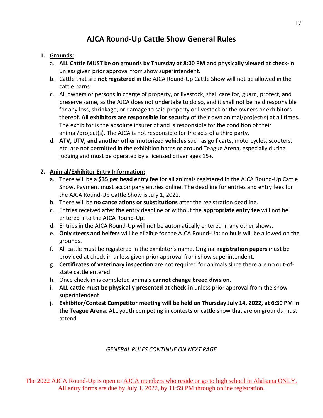# **AJCA Round-Up Cattle Show General Rules**

### **1. Grounds:**

- a. **ALL Cattle MUST be on grounds by Thursday at 8:00 PM and physically viewed at check-in** unless given prior approval from show superintendent.
- b. Cattle that are **not registered** in the AJCA Round-Up Cattle Show will not be allowed in the cattle barns.
- c. All owners or persons in charge of property, or livestock, shall care for, guard, protect, and preserve same, as the AJCA does not undertake to do so, and it shall not be held responsible for any loss, shrinkage, or damage to said property or livestock or the owners or exhibitors thereof. **All exhibitors are responsible for security** of their own animal/project(s) at all times. The exhibitor is the absolute insurer of and is responsible for the condition of their animal/project(s). The AJCA is not responsible for the acts of a third party.
- d. **ATV, UTV, and another other motorized vehicles** such as golf carts, motorcycles, scooters, etc. are not permitted in the exhibition barns or around Teague Arena, especially during judging and must be operated by a licensed driver ages 15+.

### **2. Animal/Exhibitor Entry Information:**

- a. There will be a **\$35 per head entry fee** for all animals registered in the AJCA Round-Up Cattle Show. Payment must accompany entries online. The deadline for entries and entry fees for the AJCA Round-Up Cattle Show is July 1, 2022.
- b. There will be **no cancelations or substitutions** after the registration deadline.
- c. Entries received after the entry deadline or without the **appropriate entry fee** will not be entered into the AJCA Round-Up.
- d. Entries in the AJCA Round-Up will not be automatically entered in any other shows.
- e. **Only steers and heifers** will be eligible for the AJCA Round-Up; no bulls will be allowed on the grounds.
- f. All cattle must be registered in the exhibitor's name. Original **registration papers** must be provided at check-in unless given prior approval from show superintendent.
- g. **Certificates of veterinary inspection** are not required for animals since there are no out-ofstate cattle entered.
- h. Once check-in is completed animals **cannot change breed division**.
- i. **ALL cattle must be physically presented at check-in** unless prior approval from the show superintendent.
- j. **Exhibitor/Contest Competitor meeting will be held on Thursday July 14, 2022, at 6:30 PM in the Teague Arena**. ALL youth competing in contests or cattle show that are on grounds must attend.

### *GENERAL RULES CONTINUE ON NEXT PAGE*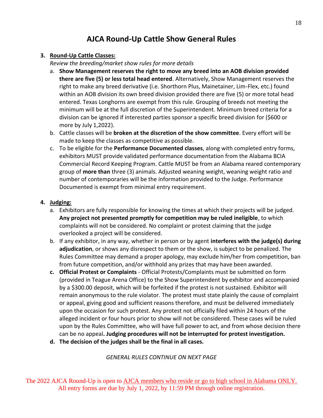# **AJCA Round-Up Cattle Show General Rules**

#### **3. Round-Up Cattle Classes:**

*Review the breeding/market show rules for more details*

- a. **Show Management reserves the right to move any breed into an AOB division provided there are five (5) or less total head entered**. Alternatively, Show Management reserves the right to make any breed derivative (i.e. Shorthorn Plus, Mainetainer, Lim-Flex, etc.) found within an AOB division its own breed division provided there are five (5) or more total head entered. Texas Longhorns are exempt from this rule. Grouping of breeds not meeting the minimum will be at the full discretion of the Superintendent. Minimum breed criteria for a division can be ignored if interested parties sponsor a specific breed division for (\$600 or more by July 1,2022).
- b. Cattle classes will be **broken at the discretion of the show committee**. Every effort will be made to keep the classes as competitive as possible.
- c. To be eligible for the **Performance Documented classes**, along with completed entry forms, exhibitors MUST provide validated performance documentation from the Alabama BCIA Commercial Record Keeping Program. Cattle MUST be from an Alabama reared contemporary group of **more than** three (3) animals. Adjusted weaning weight, weaning weight ratio and number of contemporaries will be the information provided to the Judge. Performance Documented is exempt from minimal entry requirement.

### **4. Judging:**

- a. Exhibitors are fully responsible for knowing the times at which their projects will be judged. **Any project not presented promptly for competition may be ruled ineligible**, to which complaints will not be considered. No complaint or protest claiming that the judge overlooked a project will be considered.
- b. If any exhibitor, in any way, whether in person or by agent **interferes with the judge(s) during adjudication**, or shows any disrespect to them or the show, is subject to be penalized. The Rules Committee may demand a proper apology, may exclude him/her from competition, ban from future competition, and/or withhold any prizes that may have been awarded.
- **c. Official Protest or Complaints**  Official Protests/Complaints must be submitted on form (provided in Teague Arena Office) to the Show Superintendent by exhibitor and accompanied by a \$300.00 deposit, which will be forfeited if the protest is not sustained. Exhibitor will remain anonymous to the rule violator. The protest must state plainly the cause of complaint or appeal, giving good and sufficient reasons therefore, and must be delivered immediately upon the occasion for such protest. Any protest not officially filed within 24 hours of the alleged incident or four hours prior to show will not be considered. These cases will be ruled upon by the Rules Committee, who will have full power to act, and from whose decision there can be no appeal**. Judging procedures will not be interrupted for protest investigation.**
- **d. The decision of the judges shall be the final in all cases.**

*GENERAL RULES CONTINUE ON NEXT PAGE*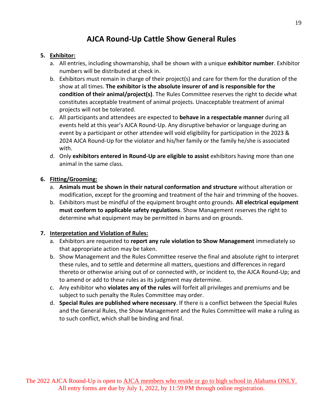# **AJCA Round-Up Cattle Show General Rules**

### **5. Exhibitor:**

- a. All entries, including showmanship, shall be shown with a unique **exhibitor number**. Exhibitor numbers will be distributed at check in.
- b. Exhibitors must remain in charge of their project(s) and care for them for the duration of the show at all times. **The exhibitor is the absolute insurer of and is responsible for the condition of their animal/project(s)**. The Rules Committee reserves the right to decide what constitutes acceptable treatment of animal projects. Unacceptable treatment of animal projects will not be tolerated.
- c. All participants and attendees are expected to **behave in a respectable manner** during all events held at this year's AJCA Round-Up. Any disruptive behavior or language during an event by a participant or other attendee will void eligibility for participation in the 2023 & 2024 AJCA Round-Up for the violator and his/her family or the family he/she is associated with.
- d. Only **exhibitors entered in Round-Up are eligible to assist** exhibitors having more than one animal in the same class.

#### **6. Fitting/Grooming:**

- a. **Animals must be shown in their natural conformation and structure** without alteration or modification, except for the grooming and treatment of the hair and trimming of the hooves.
- b. Exhibitors must be mindful of the equipment brought onto grounds. **All electrical equipment must conform to applicable safety regulations**. Show Management reserves the right to determine what equipment may be permitted in barns and on grounds.

### **7. Interpretation and Violation of Rules:**

- a. Exhibitors are requested to **report any rule violation to Show Management** immediately so that appropriate action may be taken.
- b. Show Management and the Rules Committee reserve the final and absolute right to interpret these rules, and to settle and determine all matters, questions and differences in regard thereto or otherwise arising out of or connected with, or incident to, the AJCA Round-Up; and to amend or add to these rules as its judgment may determine.
- c. Any exhibitor who **violates any of the rules** will forfeit all privileges and premiums and be subject to such penalty the Rules Committee may order.
- d. **Special Rules are published where necessary**. If there is a conflict between the Special Rules and the General Rules, the Show Management and the Rules Committee will make a ruling as to such conflict, which shall be binding and final.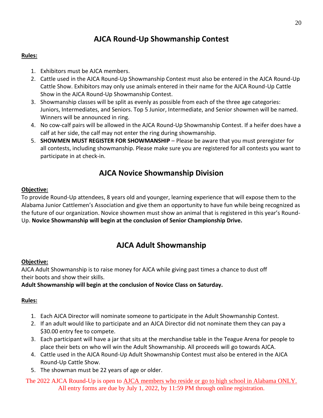# **AJCA Round-Up Showmanship Contest**

### **Rules:**

- 1. Exhibitors must be AJCA members.
- 2. Cattle used in the AJCA Round-Up Showmanship Contest must also be entered in the AJCA Round-Up Cattle Show. Exhibitors may only use animals entered in their name for the AJCA Round-Up Cattle Show in the AJCA Round-Up Showmanship Contest.
- 3. Showmanship classes will be split as evenly as possible from each of the three age categories: Juniors, Intermediates, and Seniors. Top 5 Junior, Intermediate, and Senior showmen will be named. Winners will be announced in ring.
- 4. No cow-calf pairs will be allowed in the AJCA Round-Up Showmanship Contest. If a heifer does have a calf at her side, the calf may not enter the ring during showmanship.
- 5. **SHOWMEN MUST REGISTER FOR SHOWMANSHIP** Please be aware that you must preregister for all contests, including showmanship. Please make sure you are registered for all contests you want to participate in at check-in.

### **AJCA Novice Showmanship Division**

### **Objective:**

To provide Round-Up attendees, 8 years old and younger, learning experience that will expose them to the Alabama Junior Cattlemen's Association and give them an opportunity to have fun while being recognized as the future of our organization. Novice showmen must show an animal that is registered in this year's Round-Up. **Novice Showmanship will begin at the conclusion of Senior Championship Drive.**

### **AJCA Adult Showmanship**

#### **Objective:**

AJCA Adult Showmanship is to raise money for AJCA while giving past times a chance to dust off their boots and show their skills.

### **Adult Showmanship will begin at the conclusion of Novice Class on Saturday.**

### **Rules:**

- 1. Each AJCA Director will nominate someone to participate in the Adult Showmanship Contest.
- 2. If an adult would like to participate and an AJCA Director did not nominate them they can pay a \$30.00 entry fee to compete.
- 3. Each participant will have a jar that sits at the merchandise table in the Teague Arena for people to place their bets on who will win the Adult Showmanship. All proceeds will go towards AJCA.
- 4. Cattle used in the AJCA Round-Up Adult Showmanship Contest must also be entered in the AJCA Round-Up Cattle Show.
- 5. The showman must be 22 years of age or older.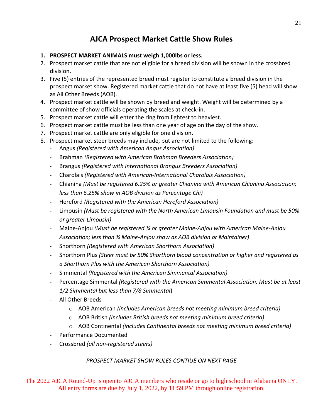# **AJCA Prospect Market Cattle Show Rules**

### **1. PROSPECT MARKET ANIMALS must weigh 1,000lbs or less.**

- 2. Prospect market cattle that are not eligible for a breed division will be shown in the crossbred division.
- 3. Five (5) entries of the represented breed must register to constitute a breed division in the prospect market show. Registered market cattle that do not have at least five (5) head will show as All Other Breeds (AOB).
- 4. Prospect market cattle will be shown by breed and weight. Weight will be determined by a committee of show officials operating the scales at check-in.
- 5. Prospect market cattle will enter the ring from lightest to heaviest.
- 6. Prospect market cattle must be less than one year of age on the day of the show.
- 7. Prospect market cattle are only eligible for one division.
- 8. Prospect market steer breeds may include, but are not limited to the following:
	- Angus *(Registered with American Angus Association)*
	- Brahman *(Registered with American Brahman Breeders Association)*
	- Brangus *(Registered with International Brangus Breeders Association)*
	- Charolais *(Registered with American-International Charolais Association)*
	- Chianina *(Must be registered 6.25% or greater Chianina with American Chianina Association; less than 6.25% show in AOB division as Percentage Chi)*
	- Hereford *(Registered with the American Hereford Association)*
	- Limousin *(Must be registered with the North American Limousin Foundation and must be 50% or greater Limousin)*
	- Maine-Anjou *(Must be registered ¾ or greater Maine-Anjou with American Maine-Anjou Association; less than ¾ Maine-Anjou show as AOB division or Maintainer)*
	- Shorthorn *(Registered with American Shorthorn Association)*
	- Shorthorn Plus *(Steer must be 50% Shorthorn blood concentration or higher and registered as a Shorthorn Plus with the American Shorthorn Association)*
	- Simmental *(Registered with the American Simmental Association)*
	- Percentage Simmental *(Registered with the American Simmental Association; Must be at least 1/2 Simmental but less than 7/8 Simmental*)
	- All Other Breeds
		- o AOB American *(includes American breeds not meeting minimum breed criteria)*
		- o AOB British *(includes British breeds not meeting minimum breed criteria)*
		- o AOB Continental *(includes Continental breeds not meeting minimum breed criteria)*
	- Performance Documented
	- Crossbred *(all non-registered steers)*

### *PROSPECT MARKET SHOW RULES CONTIUE ON NEXT PAGE*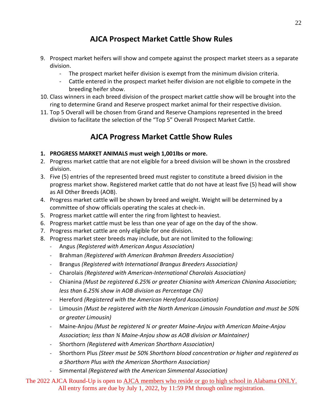# **AJCA Prospect Market Cattle Show Rules**

- 9. Prospect market heifers will show and compete against the prospect market steers as a separate division.
	- The prospect market heifer division is exempt from the minimum division criteria.
	- Cattle entered in the prospect market heifer division are not eligible to compete in the breeding heifer show.
- 10. Class winners in each breed division of the prospect market cattle show will be brought into the ring to determine Grand and Reserve prospect market animal for their respective division.
- 11. Top 5 Overall will be chosen from Grand and Reserve Champions represented in the breed division to facilitate the selection of the "Top 5" Overall Prospect Market Cattle.

# **AJCA Progress Market Cattle Show Rules**

- **1. PROGRESS MARKET ANIMALS must weigh 1,001lbs or more.**
- 2. Progress market cattle that are not eligible for a breed division will be shown in the crossbred division.
- 3. Five (5) entries of the represented breed must register to constitute a breed division in the progress market show. Registered market cattle that do not have at least five (5) head will show as All Other Breeds (AOB).
- 4. Progress market cattle will be shown by breed and weight. Weight will be determined by a committee of show officials operating the scales at check-in.
- 5. Progress market cattle will enter the ring from lightest to heaviest.
- 6. Progress market cattle must be less than one year of age on the day of the show.
- 7. Progress market cattle are only eligible for one division.
- 8. Progress market steer breeds may include, but are not limited to the following:
	- Angus *(Registered with American Angus Association)*
	- Brahman *(Registered with American Brahman Breeders Association)*
	- Brangus *(Registered with International Brangus Breeders Association)*
	- Charolais *(Registered with American-International Charolais Association)*
	- Chianina *(Must be registered 6.25% or greater Chianina with American Chianina Association; less than 6.25% show in AOB division as Percentage Chi)*
	- Hereford *(Registered with the American Hereford Association)*
	- Limousin *(Must be registered with the North American Limousin Foundation and must be 50% or greater Limousin)*
	- Maine-Anjou *(Must be registered ¾ or greater Maine-Anjou with American Maine-Anjou Association; less than ¾ Maine-Anjou show as AOB division or Maintainer)*
	- Shorthorn *(Registered with American Shorthorn Association)*
	- Shorthorn Plus *(Steer must be 50% Shorthorn blood concentration or higher and registered as a Shorthorn Plus with the American Shorthorn Association)*
	- Simmental *(Registered with the American Simmental Association)*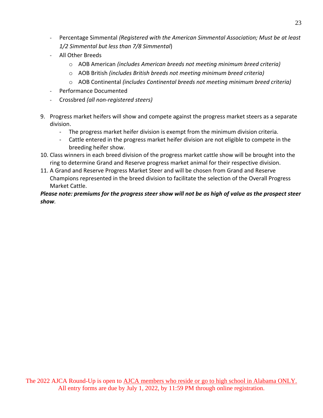- Percentage Simmental *(Registered with the American Simmental Association; Must be at least 1/2 Simmental but less than 7/8 Simmental*)
- All Other Breeds
	- o AOB American *(includes American breeds not meeting minimum breed criteria)*
	- o AOB British *(includes British breeds not meeting minimum breed criteria)*
	- o AOB Continental *(includes Continental breeds not meeting minimum breed criteria)*
- Performance Documented
- Crossbred *(all non-registered steers)*
- 9. Progress market heifers will show and compete against the progress market steers as a separate division.
	- The progress market heifer division is exempt from the minimum division criteria.
	- Cattle entered in the progress market heifer division are not eligible to compete in the breeding heifer show.
- 10. Class winners in each breed division of the progress market cattle show will be brought into the ring to determine Grand and Reserve progress market animal for their respective division.
- 11. A Grand and Reserve Progress Market Steer and will be chosen from Grand and Reserve Champions represented in the breed division to facilitate the selection of the Overall Progress Market Cattle.

### *Please note: premiums for the progress steer show will not be as high of value as the prospect steer show.*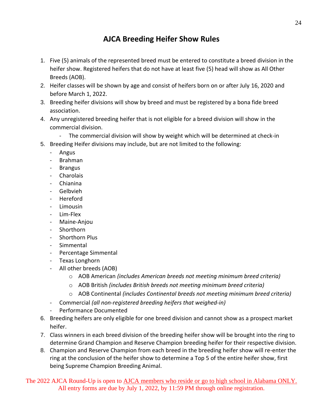# **AJCA Breeding Heifer Show Rules**

- 1. Five (5) animals of the represented breed must be entered to constitute a breed division in the heifer show. Registered heifers that do not have at least five (5) head will show as All Other Breeds (AOB).
- 2. Heifer classes will be shown by age and consist of heifers born on or after July 16, 2020 and before March 1, 2022.
- 3. Breeding heifer divisions will show by breed and must be registered by a bona fide breed association.
- 4. Any unregistered breeding heifer that is not eligible for a breed division will show in the commercial division.
	- The commercial division will show by weight which will be determined at check-in
- 5. Breeding Heifer divisions may include, but are not limited to the following:
	- Angus
	- Brahman
	- Brangus
	- Charolais
	- Chianina
	- Gelbvieh
	- Hereford
	- **Limousin**
	- Lim-Flex
	- Maine-Anjou
	- **Shorthorn**
	- Shorthorn Plus
	- Simmental
	- Percentage Simmental
	- Texas Longhorn
	- All other breeds (AOB)
		- o AOB American *(includes American breeds not meeting minimum breed criteria)*
		- o AOB British *(includes British breeds not meeting minimum breed criteria)*
		- o AOB Continental *(includes Continental breeds not meeting minimum breed criteria)*
	- Commercial *(all non-registered breeding heifers that weighed-in)*
	- Performance Documented
- 6. Breeding heifers are only eligible for one breed division and cannot show as a prospect market heifer.
- 7. Class winners in each breed division of the breeding heifer show will be brought into the ring to determine Grand Champion and Reserve Champion breeding heifer for their respective division.
- 8. Champion and Reserve Champion from each breed in the breeding heifer show will re-enter the ring at the conclusion of the heifer show to determine a Top 5 of the entire heifer show, first being Supreme Champion Breeding Animal.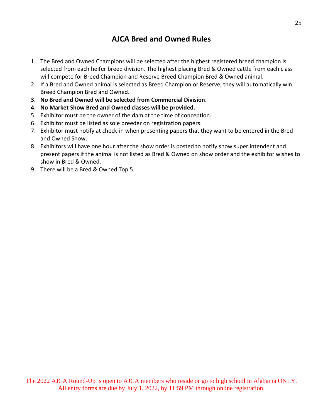### **AJCA Bred and Owned Rules**

- 1. The Bred and Owned Champions will be selected after the highest registered breed champion is selected from each heifer breed division. The highest placing Bred & Owned cattle from each class will compete for Breed Champion and Reserve Breed Champion Bred & Owned animal.
- 2. If a Bred and Owned animal is selected as Breed Champion or Reserve, they will automatically win Breed Champion Bred and Owned.
- **3. No Bred and Owned will be selected from Commercial Division.**
- **4. No Market Show Bred and Owned classes will be provided.**
- 5. Exhibitor must be the owner of the dam at the time of conception.
- 6. Exhibitor must be listed as sole breeder on registration papers.
- 7. Exhibitor must notify at check-in when presenting papers that they want to be entered in the Bred and Owned Show.
- 8. Exhibitors will have one hour after the show order is posted to notify show super intendent and present papers if the animal is not listed as Bred & Owned on show order and the exhibitor wishes to show in Bred & Owned.
- 9. There will be a Bred & Owned Top 5.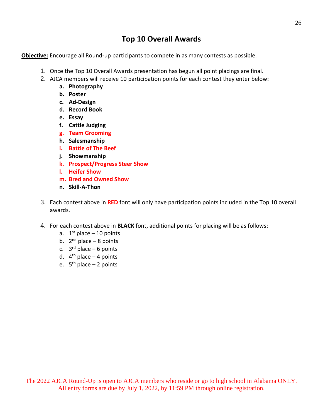### **Top 10 Overall Awards**

**Objective:** Encourage all Round-up participants to compete in as many contests as possible.

- 1. Once the Top 10 Overall Awards presentation has begun all point placings are final.
- 2. AJCA members will receive 10 participation points for each contest they enter below:
	- **a. Photography**
	- **b. Poster**
	- **c. Ad-Design**
	- **d. Record Book**
	- **e. Essay**
	- **f. Cattle Judging**
	- **g. Team Grooming**
	- **h. Salesmanship**
	- **i. Battle of The Beef**
	- **j. Showmanship**
	- **k. Prospect/Progress Steer Show**
	- **l. Heifer Show**
	- **m. Bred and Owned Show**
	- **n. Skill-A-Thon**
- 3. Each contest above in **RED** font will only have participation points included in the Top 10 overall awards.
- 4. For each contest above in **BLACK** font, additional points for placing will be as follows:
	- a.  $1<sup>st</sup>$  place 10 points
	- b. 2<sup>nd</sup> place 8 points
	- c. 3<sup>rd</sup> place 6 points
	- d. 4<sup>th</sup> place 4 points
	- e. 5<sup>th</sup> place 2 points